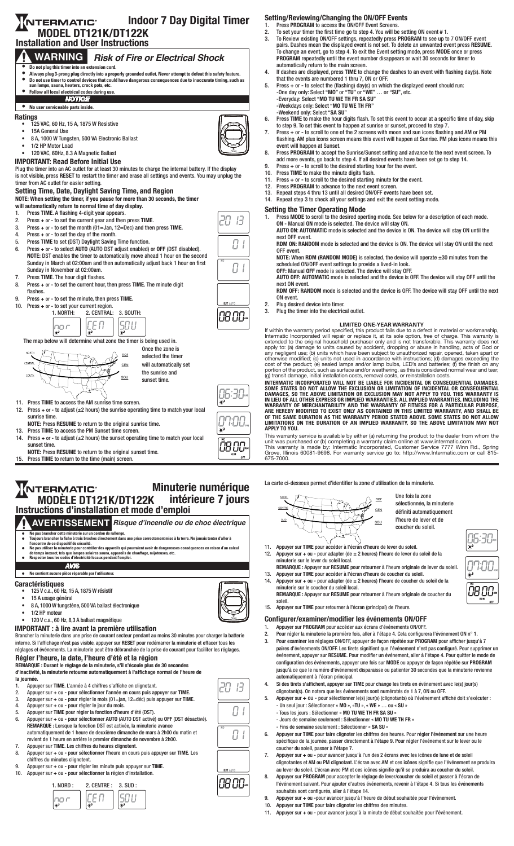## Indoor 7 Day Digital Timer **NTERMATIC** MODEL DT121K/DT122K Installation and User Instructions



### **NTERMATIC** Minuterie numérique intérieure 7 jours MODÈLE DT121K/DT122K intérieure Instructions d'installation et mode d'emploi

**AVERTISSEMENT Risque d'incendie ou de choc électrique**

- 
- $\begin{array}{ll} \bullet \quad \textbf{Ne}\text{ pas brancher cette minuterie sur un cordon de rallonge.} \\ \bullet \quad \textbf{Four's brancher ette minuterie sur un cordon de rallonge.} \\ \bullet \quad \textbf{Four's brancher la fiche à trois broches directement dans une prise correctement mise à la terre. Ne jamais tenter d'aller à \\ \bullet \quad \textbf{Ne}\text{ pas utiliser la minuterie pour contrôler des appareils qui pourraient avoir de dampreueses conséquences en raison d'un calcul de tempereurs exact, tel que lames solantes de tulestricité locaux pendant l'emploi. \\ \bullet \quad \textbf{Respecter tous les codes d'électricité locaux pendant l'emploi.} \end{array}$
- 
- 

### *AVIS* • **Ne contient aucune pièce réparable par l'utilisateur.**

## **Caractéristiques**

- 125 V c.a., 60 Hz, 15 A, 1875 W résistif
- 15 A usage général
- 8 A, 1000 W tungstène, 500 VA ballast électronique
- 1/2 HP moteur
- 120 V c.a., 60 Hz, 8,3 A ballast magnétique
- IMPORTANT : à lire avant la première utilisation

Brancher la minuterie dans une prise de courant secteur pendant au moins 30 minutes pour charger la batterie interne. Si l'affichage n'est pas visible, appuyer sur RESET pour redémarrer la minuterie et effacer tous les réglages et événements. La minuterie peut être débranchée de la prise de courant pour faciliter les réglages.

# Régler l'heure, la date, l'heure d'été et la région

REMARQUE : Durant le réglage de la minuterie, s'il s'écoule plus de 30 secondes d'inactivité, la minuterie retourne automatiquement à l'affichage normal de l'heure de

- la journée.
- 1. Appuyer sur TIME. L'année à 4 chiffres s'affiche en clignotant.<br>2. Appuyer sur + ou pour sélectionner l'année en cours puis ap
- 2. Appuyer sur + ou pour sélectionner l'année en cours puis appuyer sur TIME. 3. Appuyer sur + ou - pour régler le mois (01=jan, 12=déc) puis appuyer sur TIME.
- 3. Appuyer sur + ou pour régler le mois (01=jan<br>4. Appuyer sur + ou pour régler le jour du mois.<br>5. Appuyer sur TIME pour régler la fonction d'heu
- 5. Appuyer sur TIME pour régler la fonction d'heure d'été (DST).
- 6. Appuyer sur + ou pour sélectionner AUTO (AUTO DST activé) ou OFF (DST désactivé). REMARQUE : Lorsque la fonction DST est activée, la minuterie avance automatiquement de 1 heure de deuxième dimanche de mars à 2h00 du matin et revient de 1 heure en arrière le premier dimanche de novembre à 2h00.
- 7. Appuyer sur TIME. Les chiffres du heures clignotent. 4. Press the Time button again to set the Day Light Savings Time (DST) fuction.
- 8. Appuyer sur + ou pour sélectionner l'heure en cours puis appuyer sur TIME. Les chiffres du minutes clignotent.
- 9. Appuyer sur + ou pour régler les minute puis appuyer sur TIME.<br>10. Appuyer sur + ou pour sélectionner la région d'installation. 10. Appuyer sur + ou - pour sélectionner la région d'installation.
	-



- Setting/Reviewing/Changing the ON/OFF Events 1. Press PROGRAM to access the ON/OFF Event Screens. 2. To set your timer the first time go to step 4. You will be setting ON event # 1.
	- 3. To Review existing ON/OFF settings, repeatedly press PROGRAM to see up to 7 ON/OFF event pairs. Dashes mean the displayed event is not set. To delete an unwanted event press RESUME. To change an event, go to step 4. To exit the Event setting mode, press MODE once or press PROGRAM repeatedly until the event number disappears or wait 30 seconds for timer to automatically return to the main screen.
	- 4. If dashes are displayed, press TIME to change the dashes to an event with flashing day(s). Note that the events are numbered 1 thru 7, ON or OFF.
	- 5. Press + or to select the (flashing) day(s) on which the displayed event should run: -One day only: Select "MO" or "TU" or "WE" … or "SU", etc. -Everyday: Select "MO TU WE TH FR SA SU" -Weekdays only: Select "MO TU WE TH FR"
		-
	- 6. Press TIME to make the hour digits flash. To set this event to occur at a specific time of day, skip to step 9. To set this event to happen at sunrise or sunset, proceed to step 7.
- 7. Press + or to scroll to one of the 2 screens with moon and sun icons flashing and AM or PM flashing. AM plus icons screen means this event will happen at Sunrise. PM plus icons means this
- 8. Press PROGRAM to accept the Sunrise/Sunset setting and advance to the next event screen. To
- add more events, go back to step 4. If all desired events have been set go to step 14. 9. Press + or - to scroll to the desired starting hour for the event.
- 
- 11. Press + or to scroll to the desired starting minute for the event.
- 
- 

- 1. Press MODE to scroll to the desired operting mode. See below for a description of each mode. ON - Manual ON mode is selected. The device will stay ON.
- AUTO ON: AUTOMATIC mode is selected and the device is ON. The device will stay ON until the RDM ON: RANDOM mode is selected and the device is ON. The device will stay ON until the next
- NOTE: When RDM (RANDOM MODE) is selected, the device will operate  $\pm 30$  minutes from the
	- scheduled ON/OFF event settings to provide a lived-in look.

AUTO OFF: AUTOMATIC mode is selected and the device is OFF. The device will stay OFF until the

RDM OFF: RANDOM mode is selected and the device is OFF. The device will stay OFF until the next

**LIMITED ONE-YEAR WARRANTY**<br> **LIMITED ONE-YEAR WARRANTY**<br>
Intermatic Incorporated will repair or replace it, at its sole option, free of charge. This warranty is<br>
extended to the original household purchaser only and is no

INTERMATIC INCORPORATED WILL NOT BE LIABLE FOR INCIDENTAL OR CONSEQUENTIAL DAMAGES.<br>SOME STATES DO NOT ALLOW THE EXCLUSION OR LIMITATION OF INCIDENTAL OR CONSEQUENTIAL<br>DAMAGES, SO THE ABOVE LIMITATION OR EXCLUSION MAY NOT

This warranty service is available by either (a) returning the product to the dealer from whom the<br>unit was purchased or (b) completing a warranty claim online at www.intermatic.com.<br>This warranty is made by: Intermatic In

La carte ci-dessous permet d'identifier la zone d'utilisation de la minuterie.



Une fois la zone sélectionnée, la minuterie définiti automatiquement l'heure de lever et de coucher du soleil.

- 11. Appuyer sur TIME pour accéder à l'écran d'heure de lever du soleil.<br>12. Appuyer sur + ou pour adapter (de ± 2 heures) l'heure de lever du 12. Appuyer sur  $+$  ou - pour adapter (de  $\pm$  2 heures) l'heure de lever du soleil de la  $\sqrt{2\pi}$ minuterie sur le lever du soleil local.
- REMARQUE : Appuyer sur RESUME pour retourner à l'heure originale de lever du soleil. 13. Appuyer sur TIME pour accéder à l'écran d'heure de coucher du soleil.
- 14. Appuyer sur + ou pour adapter (de ± 2 heures) l'heure de coucher du soleil de la minuterie sur le coucher du soleil local. REMARQUE : Appuyer sur RESUME pour retourner à l'heure originale de coucher du
- soleil. soien.<br>15. Appuyer sur TIME pour retourner à l'écran (principal) de l'heure.

### Configurer/examiner/modifier les événements ON/OFF

- 1. Appuyer sur PROGRAM pour accéder aux écrans d'événements ON/OFF.
- 2. Pour régler la minuterie la première fois, aller à l'étape 4. Cela configurera l'événement ON n° 1. 3. Pour examiner les réglages ON/OFF, appuyer de façon répétée sur PROGRAM pour afficher jusqu'à 7 paires d'événements ON/OFF. Les tirets signifient que l'événement n'est pas configuré. Pour supprimer un événement, appuyer sur RESUME. Pour modifier un événement, aller à l'étape 4. Pour quitter le mode de configuration des événements, appuyer une fois sur MODE ou appuyer de façon répétée sur PROGRAM jusqu'à ce que le numéro d'événement disparaisse ou patienter 30 secondes que la minuterie revienne automatiquement à l'écran principal.
- 4. Si des tirets s'affichent, appuyer sur TIME pour change les tirets en événement avec le(s) jour(s) clignotant(s). On notera que les événements sont numérotés de 1 à 7, ON ou OFF.
- 5. Appuyer sur + ou pour sélectionner le(s) jour(s) (clignotants) où l'événement affiché doit s'exécuter : - Un seul jour : Sélectionner « MO », «TU », « WE » … ou « SU »
	- Tous les jours : Sélectionner « MO TU WE TH FR SA SU » - Jours de semaine seulement : Sélectionner « MO TU WE TH FR »
	- Fins de semaine seulement : Sélectionner « SA SU »
- 6. Appuyer sur TIME pour faire clignoter les chiffres des heures. Pour régler l'événement sur une heure spécifique de la journée, passer directement à l'étape 9. Pour régler l'événement sur le lever ou le coucher du soleil, passer à l'étape 7.
- 7. Appuyer sur + ou pour avancer jusqu'à l'un des 2 écrans avec les icônes de lune et de soleil clignotantes et AM ou PM clignotant. L'écran avec AM et ces icônes signifie que l'événement se produira au lever du soleil. L'écran avec PM et ces icônes signifie qu'il se produira au coucher du soleil.
- 8. Appuyer sur PROGRAM pour accepter le réglage de lever/coucher du soleil et passer à l'écran de l'événement suivant. Pour ajouter d'autres événements, revenir à l'étape 4. Si tous les événements souhaités sont configurés, aller à l'étape 14.
- 9. Appuyer sur + ou -pour avancer jusqu'à l'heure de début souhaitée pour l'évènement.
- 10. Appuyer sur TIME pour faire clignoter les chiffres des minutes.
- 11. Appuyer sur + ou pour avancer jusqu'à la minute de début souhaitée pour l'évènement.







חה, -13

0 I

0 I

*08 00:* 

2. In case of a display failure, press RESET button to restart the timer.